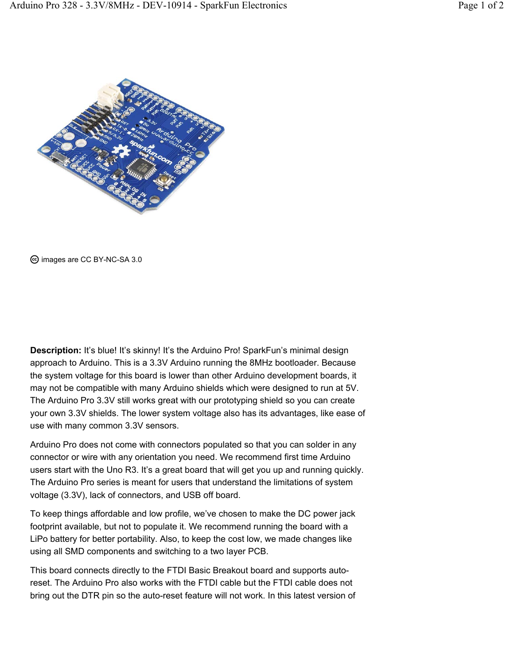

images are CC BY-NC-SA 3.0

**Description:** It's blue! It's skinny! It's the Arduino Pro! SparkFun's minimal design approach to Arduino. This is a 3.3V Arduino running the 8MHz bootloader. Because the system voltage for this board is lower than other Arduino development boards, it may not be compatible with many Arduino shields which were designed to run at 5V. The Arduino Pro 3.3V still works great with our prototyping shield so you can create your own 3.3V shields. The lower system voltage also has its advantages, like ease of use with many common 3.3V sensors.

Arduino Pro does not come with connectors populated so that you can solder in any connector or wire with any orientation you need. We recommend first time Arduino users start with the Uno R3. It's a great board that will get you up and running quickly. The Arduino Pro series is meant for users that understand the limitations of system voltage (3.3V), lack of connectors, and USB off board.

To keep things affordable and low profile, we've chosen to make the DC power jack footprint available, but not to populate it. We recommend running the board with a LiPo battery for better portability. Also, to keep the cost low, we made changes like using all SMD components and switching to a two layer PCB.

This board connects directly to the FTDI Basic Breakout board and supports autoreset. The Arduino Pro also works with the FTDI cable but the FTDI cable does not bring out the DTR pin so the auto-reset feature will not work. In this latest version of